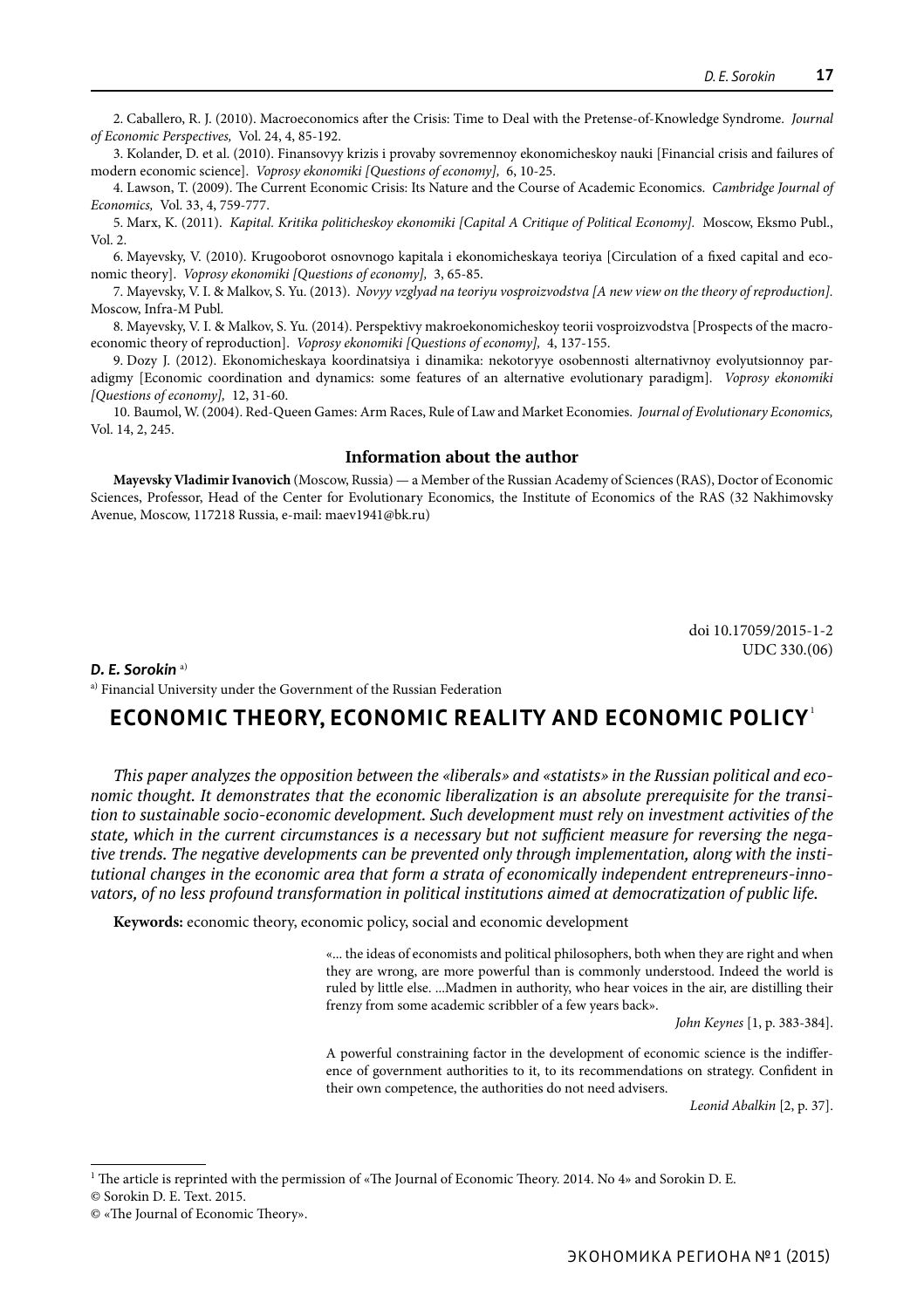## *D. E. Sorokin* a)

a) Financial University under the Government of the Russian Federation

## **ECONOMIC THEORY, ECONOMIC REALITY AND ECONOMIC POLICY**<sup>1</sup>

*This paper analyzes the opposition between the «liberals» and «statists» in the Russian political and economic thought. It demonstrates that the economic liberalization is an absolute prerequisite for the transition to sustainable socio-economic development. Such development must rely on investment activities of the state, which in the current circumstances is a necessary but not sufficient measure for reversing the negative trends. The negative developments can be prevented only through implementation, along with the institutional changes in the economic area that form a strata of economically independent entrepreneurs-innovators, of no less profound transformation in political institutions aimed at democratization of public life.*

**Keywords:** economic theory, economic policy, social and economic development

«... the ideas of economists and political philosophers, both when they are right and when they are wrong, are more powerful than is commonly understood. Indeed the world is ruled by little else. ...Madmen in authority, who hear voices in the air, are distilling their frenzy from some academic scribbler of a few years back».

*John Keynes* [1, p. 383*-*384].

A powerful constraining factor in the development of economic science is the indifference of government authorities to it, to its recommendations on strategy. Confident in their own competence, the authorities do not need advisers.

*Leonid Abalkin* [2, p. 37].

<sup>1</sup> The article is reprinted with the permission of «The Journal of Economic Theory. 2014. No 4» and Sorokin D. E.

<sup>©</sup> Sorokin D. E. Text. 2015.

<sup>© «</sup>The Journal of Economic Theory».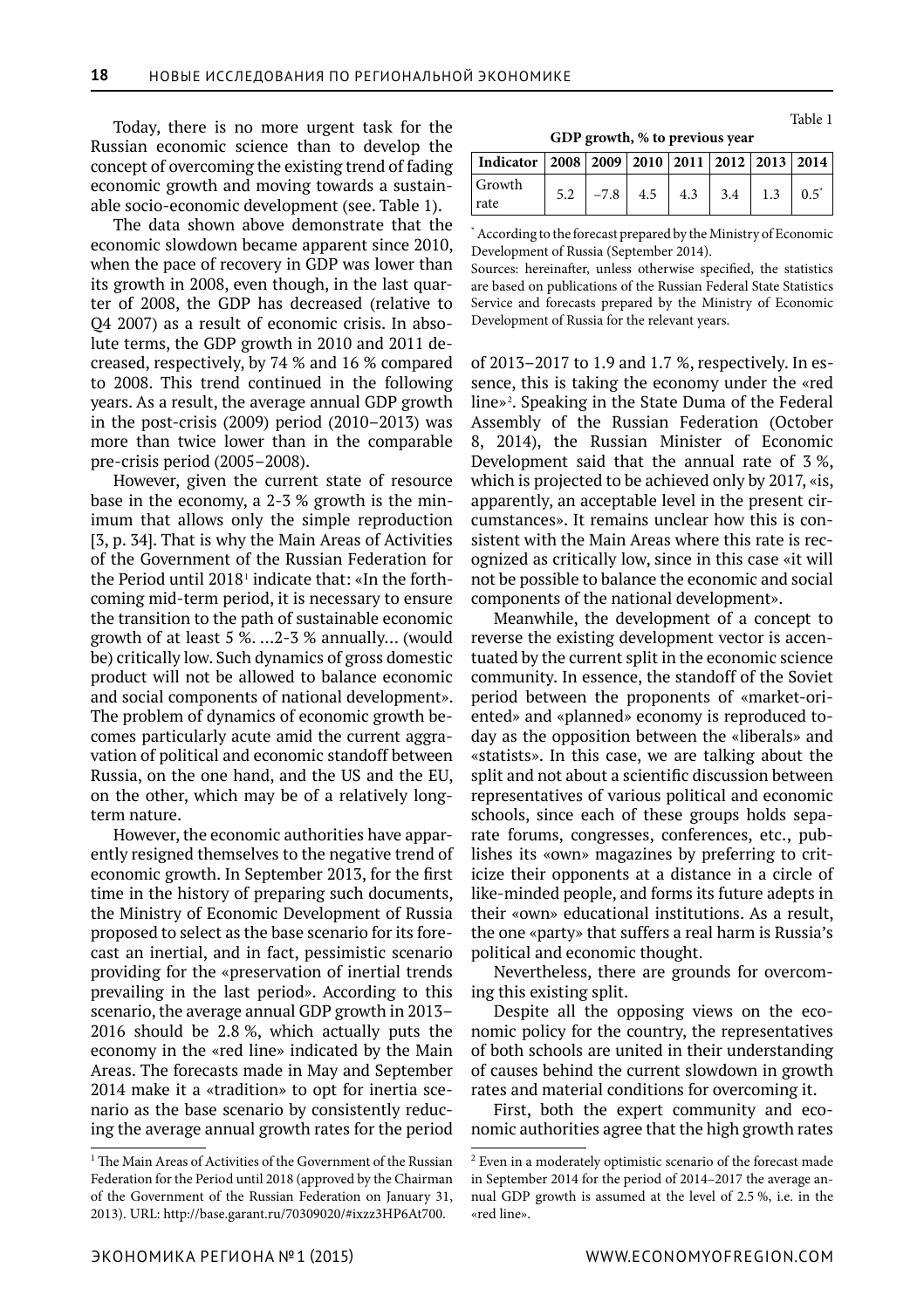Today, there is no more urgent task for the Russian economic science than to develop the concept of overcoming the existing trend of fading economic growth and moving towards a sustainable socio-economic development (see. Table 1).

The data shown above demonstrate that the economic slowdown became apparent since 2010, when the pace of recovery in GDP was lower than its growth in 2008, even though, in the last quarter of 2008, the GDP has decreased (relative to Q4 2007) as a result of economic crisis. In absolute terms, the GDP growth in 2010 and 2011 decreased, respectively, by 74 % and 16 % compared to 2008. This trend continued in the following years. As a result, the average annual GDP growth in the post-crisis (2009) period (2010–2013) was more than twice lower than in the comparable pre-crisis period (2005–2008).

However, given the current state of resource base in the economy, a 2-3 % growth is the minimum that allows only the simple reproduction [3, p. 34]. That is why the Main Areas of Activities of the Government of the Russian Federation for the Period until 20181 indicate that: «In the forthcoming mid-term period, it is necessary to ensure the transition to the path of sustainable economic growth of at least 5 %. ...2-3 % annually... (would be) critically low. Such dynamics of gross domestic product will not be allowed to balance economic and social components of national development». The problem of dynamics of economic growth becomes particularly acute amid the current aggravation of political and economic standoff between Russia, on the one hand, and the US and the EU, on the other, which may be of a relatively longterm nature.

However, the economic authorities have apparently resigned themselves to the negative trend of economic growth. In September 2013, for the first time in the history of preparing such documents, the Ministry of Economic Development of Russia proposed to select as the base scenario for its forecast an inertial, and in fact, pessimistic scenario providing for the «preservation of inertial trends prevailing in the last period». According to this scenario, the average annual GDP growth in 2013– 2016 should be 2.8 %, which actually puts the economy in the «red line» indicated by the Main Areas. The forecasts made in May and September 2014 make it a «tradition» to opt for inertia scenario as the base scenario by consistently reducing the average annual growth rates for the period

| GDP growth, % to previous year |  |  |  |  |
|--------------------------------|--|--|--|--|
|--------------------------------|--|--|--|--|

Table 1

| Indicator   2008   2009   2010   2011   2012   2013   2014 |  |                                                |  |         |
|------------------------------------------------------------|--|------------------------------------------------|--|---------|
| Growth<br>l rate                                           |  | $5.2$   $-7.8$   $4.5$   $4.3$   $3.4$   $1.3$ |  | $0.5^*$ |

\* According to the forecast prepared by the Ministry of Economic Development of Russia (September 2014).

Sources: hereinafter, unless otherwise specified, the statistics are based on publications of the Russian Federal State Statistics Service and forecasts prepared by the Ministry of Economic Development of Russia for the relevant years.

of 2013–2017 to 1.9 and 1.7 %, respectively. In essence, this is taking the economy under the «red line»<sup>2</sup>. Speaking in the State Duma of the Federal Assembly of the Russian Federation (October 8, 2014), the Russian Minister of Economic Development said that the annual rate of 3 %, which is projected to be achieved only by 2017, «is, apparently, an acceptable level in the present circumstances». It remains unclear how this is consistent with the Main Areas where this rate is recognized as critically low, since in this case «it will not be possible to balance the economic and social components of the national development».

Meanwhile, the development of a concept to reverse the existing development vector is accentuated by the current split in the economic science community. In essence, the standoff of the Soviet period between the proponents of «market-oriented» and «planned» economy is reproduced today as the opposition between the «liberals» and «statists». In this case, we are talking about the split and not about a scientific discussion between representatives of various political and economic schools, since each of these groups holds separate forums, congresses, conferences, etc., publishes its «own» magazines by preferring to criticize their opponents at a distance in a circle of like-minded people, and forms its future adepts in their «own» educational institutions. As a result, the one «party» that suffers a real harm is Russia's political and economic thought.

Nevertheless, there are grounds for overcoming this existing split.

Despite all the opposing views on the economic policy for the country, the representatives of both schools are united in their understanding of causes behind the current slowdown in growth rates and material conditions for overcoming it.

First, both the expert community and economic authorities agree that the high growth rates

<sup>1</sup> The Main Areas of Activities of the Government of the Russian Federation for the Period until 2018 (approved by the Chairman of the Government of the Russian Federation on January 31, 2013). URL: http://base.garant.ru/70309020/#ixzz3HP6At700.

<sup>2</sup> Even in a moderately optimistic scenario of the forecast made in September 2014 for the period of 2014–2017 the average annual GDP growth is assumed at the level of 2.5 %, i.e. in the «red line».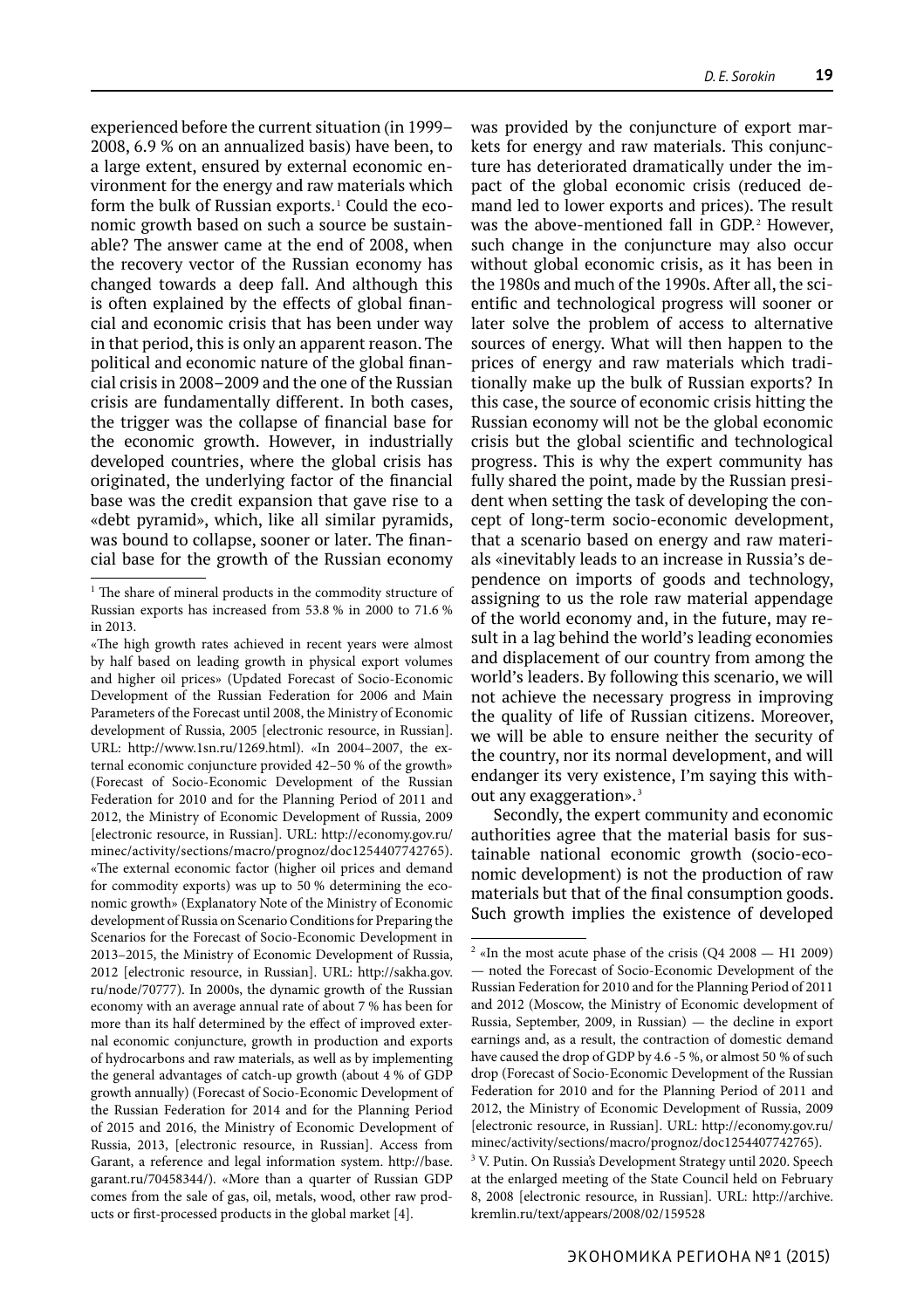experienced before the current situation (in 1999– 2008, 6.9 % on an annualized basis) have been, to a large extent, ensured by external economic environment for the energy and raw materials which form the bulk of Russian exports. <sup>1</sup> Could the economic growth based on such a source be sustainable? The answer came at the end of 2008, when the recovery vector of the Russian economy has changed towards a deep fall. And although this is often explained by the effects of global financial and economic crisis that has been under way in that period, this is only an apparent reason. The political and economic nature of the global financial crisis in 2008–2009 and the one of the Russian crisis are fundamentally different. In both cases, the trigger was the collapse of financial base for the economic growth. However, in industrially developed countries, where the global crisis has originated, the underlying factor of the financial base was the credit expansion that gave rise to a «debt pyramid», which, like all similar pyramids, was bound to collapse, sooner or later. The financial base for the growth of the Russian economy was provided by the conjuncture of export markets for energy and raw materials. This conjuncture has deteriorated dramatically under the impact of the global economic crisis (reduced demand led to lower exports and prices). The result was the above-mentioned fall in GDP.<sup>2</sup> However, such change in the conjuncture may also occur without global economic crisis, as it has been in the 1980s and much of the 1990s. After all, the scientific and technological progress will sooner or later solve the problem of access to alternative sources of energy. What will then happen to the prices of energy and raw materials which traditionally make up the bulk of Russian exports? In this case, the source of economic crisis hitting the Russian economy will not be the global economic crisis but the global scientific and technological progress. This is why the expert community has fully shared the point, made by the Russian president when setting the task of developing the concept of long-term socio-economic development, that a scenario based on energy and raw materials «inevitably leads to an increase in Russia's dependence on imports of goods and technology, assigning to us the role raw material appendage of the world economy and, in the future, may result in a lag behind the world's leading economies and displacement of our country from among the world's leaders. By following this scenario, we will not achieve the necessary progress in improving the quality of life of Russian citizens. Moreover, we will be able to ensure neither the security of the country, nor its normal development, and will endanger its very existence, I'm saying this without any exaggeration». <sup>3</sup>

Secondly, the expert community and economic authorities agree that the material basis for sustainable national economic growth (socio-economic development) is not the production of raw materials but that of the final consumption goods. Such growth implies the existence of developed

<sup>&</sup>lt;sup>1</sup> The share of mineral products in the commodity structure of Russian exports has increased from 53.8 % in 2000 to 71.6 % in 2013.

<sup>«</sup>The high growth rates achieved in recent years were almost by half based on leading growth in physical export volumes and higher oil prices» (Updated Forecast of Socio-Economic Development of the Russian Federation for 2006 and Main Parameters of the Forecast until 2008, the Ministry of Economic development of Russia, 2005 [electronic resource, in Russian]. URL: http://www.1sn.ru/1269.html). «In 2004–2007, the external economic conjuncture provided 42–50 % of the growth» (Forecast of Socio-Economic Development of the Russian Federation for 2010 and for the Planning Period of 2011 and 2012, the Ministry of Economic Development of Russia, 2009 [electronic resource, in Russian]. URL: http://economy.gov.ru/ minec/activity/sections/macro/prognoz/doc1254407742765). «The external economic factor (higher oil prices and demand for commodity exports) was up to 50 % determining the economic growth» (Explanatory Note of the Ministry of Economic development of Russia on Scenario Conditions for Preparing the Scenarios for the Forecast of Socio-Economic Development in 2013–2015, the Ministry of Economic Development of Russia, 2012 [electronic resource, in Russian]. URL: http://sakha.gov. ru/node/70777). In 2000s, the dynamic growth of the Russian economy with an average annual rate of about 7 % has been for more than its half determined by the effect of improved external economic conjuncture, growth in production and exports of hydrocarbons and raw materials, as well as by implementing the general advantages of catch-up growth (about 4 % of GDP growth annually) (Forecast of Socio-Economic Development of the Russian Federation for 2014 and for the Planning Period of 2015 and 2016, the Ministry of Economic Development of Russia, 2013, [electronic resource, in Russian]. Access from Garant, a reference and legal information system. http://base. garant.ru/70458344/). «More than a quarter of Russian GDP comes from the sale of gas, oil, metals, wood, other raw products or first-processed products in the global market [4].

 $2^2$  «In the most acute phase of the crisis (Q4 2008 — H1 2009) — noted the Forecast of Socio-Economic Development of the Russian Federation for 2010 and for the Planning Period of 2011 and 2012 (Moscow, the Ministry of Economic development of Russia, September, 2009, in Russian) — the decline in export earnings and, as a result, the contraction of domestic demand have caused the drop of GDP by 4.6 -5 %, or almost 50 % of such drop (Forecast of Socio-Economic Development of the Russian Federation for 2010 and for the Planning Period of 2011 and 2012, the Ministry of Economic Development of Russia, 2009 [electronic resource, in Russian]. URL: http://economy.gov.ru/ minec/activity/sections/macro/prognoz/doc1254407742765).

<sup>&</sup>lt;sup>3</sup> V. Putin. On Russia's Development Strategy until 2020. Speech at the enlarged meeting of the State Council held on February 8, 2008 [electronic resource, in Russian]. URL: http://archive. kremlin.ru/text/appears/2008/02/159528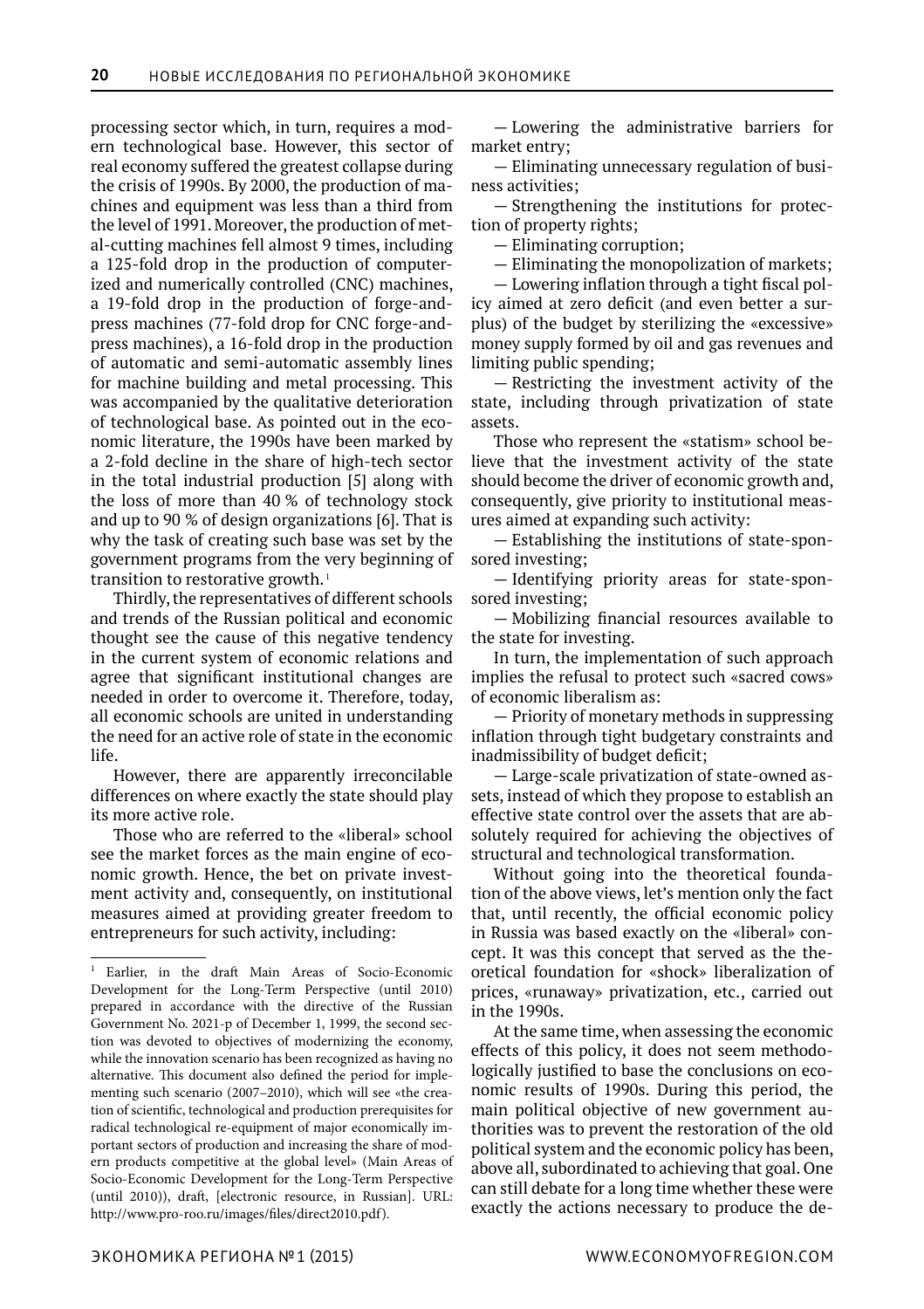processing sector which, in turn, requires a modern technological base. However, this sector of real economy suffered the greatest collapse during the crisis of 1990s. By 2000, the production of machines and equipment was less than a third from the level of 1991. Moreover, the production of metal-cutting machines fell almost 9 times, including a 125-fold drop in the production of computerized and numerically controlled (CNC) machines, a 19-fold drop in the production of forge-andpress machines (77-fold drop for CNC forge-andpress machines), a 16-fold drop in the production of automatic and semi-automatic assembly lines for machine building and metal processing. This was accompanied by the qualitative deterioration of technological base. As pointed out in the economic literature, the 1990s have been marked by a 2-fold decline in the share of high-tech sector in the total industrial production [5] along with the loss of more than 40 % of technology stock and up to 90 % of design organizations [6]. That is why the task of creating such base was set by the government programs from the very beginning of transition to restorative growth. $<sup>1</sup>$ </sup>

Thirdly, the representatives of different schools and trends of the Russian political and economic thought see the cause of this negative tendency in the current system of economic relations and agree that significant institutional changes are needed in order to overcome it. Therefore, today, all economic schools are united in understanding the need for an active role of state in the economic life.

However, there are apparently irreconcilable differences on where exactly the state should play its more active role.

Those who are referred to the «liberal» school see the market forces as the main engine of economic growth. Hence, the bet on private investment activity and, consequently, on institutional measures aimed at providing greater freedom to entrepreneurs for such activity, including:

— Lowering the administrative barriers for market entry;

— Eliminating unnecessary regulation of business activities;

— Strengthening the institutions for protection of property rights;

— Eliminating corruption;

— Eliminating the monopolization of markets;

— Lowering inflation through a tight fiscal policy aimed at zero deficit (and even better a surplus) of the budget by sterilizing the «excessive» money supply formed by oil and gas revenues and limiting public spending;

— Restricting the investment activity of the state, including through privatization of state assets.

Those who represent the «statism» school believe that the investment activity of the state should become the driver of economic growth and, consequently, give priority to institutional measures aimed at expanding such activity:

— Establishing the institutions of state-sponsored investing;

— Identifying priority areas for state-sponsored investing;

— Mobilizing financial resources available to the state for investing.

In turn, the implementation of such approach implies the refusal to protect such «sacred cows» of economic liberalism as:

— Priority of monetary methods in suppressing inflation through tight budgetary constraints and inadmissibility of budget deficit;

— Large-scale privatization of state-owned assets, instead of which they propose to establish an effective state control over the assets that are absolutely required for achieving the objectives of structural and technological transformation.

Without going into the theoretical foundation of the above views, let's mention only the fact that, until recently, the official economic policy in Russia was based exactly on the «liberal» concept. It was this concept that served as the theoretical foundation for «shock» liberalization of prices, «runaway» privatization, etc., carried out in the 1990s.

At the same time, when assessing the economic effects of this policy, it does not seem methodologically justified to base the conclusions on economic results of 1990s. During this period, the main political objective of new government authorities was to prevent the restoration of the old political system and the economic policy has been, above all, subordinated to achieving that goal. One can still debate for a long time whether these were exactly the actions necessary to produce the de-

<sup>1</sup> Earlier, in the draft Main Areas of Socio-Economic Development for the Long-Term Perspective (until 2010) prepared in accordance with the directive of the Russian Government No. 2021-p of December 1, 1999, the second section was devoted to objectives of modernizing the economy, while the innovation scenario has been recognized as having no alternative. This document also defined the period for implementing such scenario (2007–2010), which will see «the creation of scientific, technological and production prerequisites for radical technological re-equipment of major economically important sectors of production and increasing the share of modern products competitive at the global level» (Main Areas of Socio-Economic Development for the Long-Term Perspective (until 2010)), draft, [electronic resource, in Russian]. URL: http://www.pro-roo.ru/images/files/direct2010.pdf).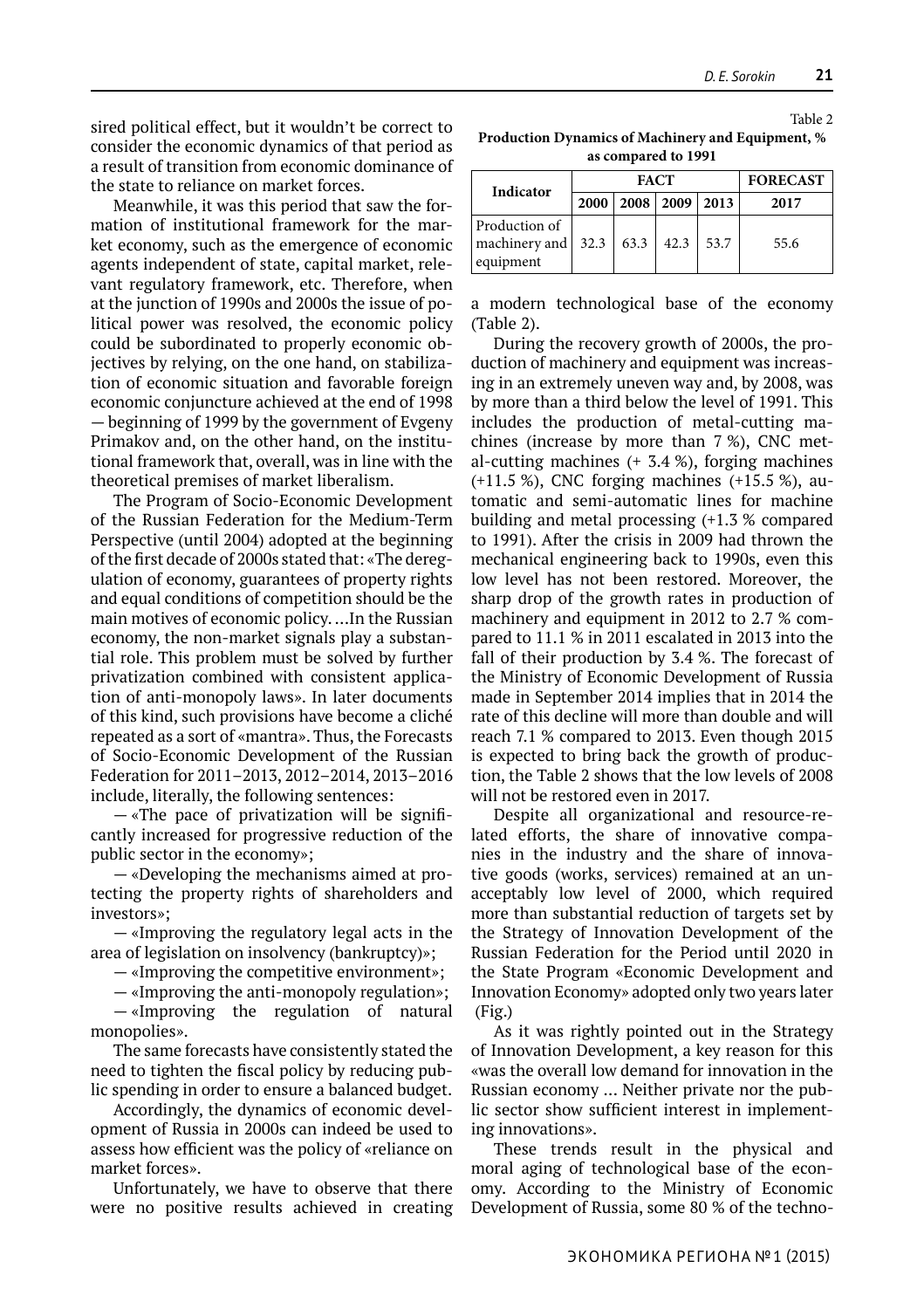sired political effect, but it wouldn't be correct to consider the economic dynamics of that period as a result of transition from economic dominance of the state to reliance on market forces.

Meanwhile, it was this period that saw the formation of institutional framework for the market economy, such as the emergence of economic agents independent of state, capital market, relevant regulatory framework, etc. Therefore, when at the junction of 1990s and 2000s the issue of political power was resolved, the economic policy could be subordinated to properly economic objectives by relying, on the one hand, on stabilization of economic situation and favorable foreign economic conjuncture achieved at the end of 1998 — beginning of 1999 by the government of Evgeny Primakov and, on the other hand, on the institutional framework that, overall, was in line with the theoretical premises of market liberalism.

The Program of Socio-Economic Development of the Russian Federation for the Medium-Term Perspective (until 2004) adopted at the beginning of the first decade of 2000s stated that: «The deregulation of economy, guarantees of property rights and equal conditions of competition should be the main motives of economic policy. …In the Russian economy, the non-market signals play a substantial role. This problem must be solved by further privatization combined with consistent application of anti-monopoly laws». In later documents of this kind, such provisions have become a cliché repeated as a sort of «mantra». Thus, the Forecasts of Socio-Economic Development of the Russian Federation for 2011–2013, 2012–2014, 2013–2016 include, literally, the following sentences:

— «The pace of privatization will be significantly increased for progressive reduction of the public sector in the economy»;

— «Developing the mechanisms aimed at protecting the property rights of shareholders and investors»;

— «Improving the regulatory legal acts in the area of legislation on insolvency (bankruptcy)»;

— «Improving the competitive environment»;

— «Improving the anti-monopoly regulation»;

— «Improving the regulation of natural monopolies».

The same forecasts have consistently stated the need to tighten the fiscal policy by reducing public spending in order to ensure a balanced budget.

Accordingly, the dynamics of economic development of Russia in 2000s can indeed be used to assess how efficient was the policy of «reliance on market forces».

Unfortunately, we have to observe that there were no positive results achieved in creating

Table 2 **Production Dynamics of Machinery and Equipment, % as compared to 1991**

| Indicator                                                        |             | <b>FACT</b> | <b>FORECAST</b>      |        |      |
|------------------------------------------------------------------|-------------|-------------|----------------------|--------|------|
|                                                                  | $2000 \mid$ |             | $2008$   2009   2013 |        | 2017 |
| Production of<br>machinery and $\vert$ 32.3 $\vert$<br>equipment |             | 63.3        | 42.3                 | 1,53.7 | 55.6 |

a modern technological base of the economy (Table 2).

During the recovery growth of 2000s, the production of machinery and equipment was increasing in an extremely uneven way and, by 2008, was by more than a third below the level of 1991. This includes the production of metal-cutting machines (increase by more than 7 %), CNC metal-cutting machines (+ 3.4 %), forging machines (+11.5 %), CNC forging machines (+15.5 %), automatic and semi-automatic lines for machine building and metal processing (+1.3 % compared to 1991). After the crisis in 2009 had thrown the mechanical engineering back to 1990s, even this low level has not been restored. Moreover, the sharp drop of the growth rates in production of machinery and equipment in 2012 to 2.7 % compared to 11.1 % in 2011 escalated in 2013 into the fall of their production by 3.4 %. The forecast of the Ministry of Economic Development of Russia made in September 2014 implies that in 2014 the rate of this decline will more than double and will reach 7.1 % compared to 2013. Even though 2015 is expected to bring back the growth of production, the Table 2 shows that the low levels of 2008 will not be restored even in 2017.

Despite all organizational and resource-related efforts, the share of innovative companies in the industry and the share of innovative goods (works, services) remained at an unacceptably low level of 2000, which required more than substantial reduction of targets set by the Strategy of Innovation Development of the Russian Federation for the Period until 2020 in the State Program «Economic Development and Innovation Economy» adopted only two years later (Fig.)

As it was rightly pointed out in the Strategy of Innovation Development, a key reason for this «was the overall low demand for innovation in the Russian economy ... Neither private nor the public sector show sufficient interest in implementing innovations».

These trends result in the physical and moral aging of technological base of the economy. According to the Ministry of Economic Development of Russia, some 80 % of the techno-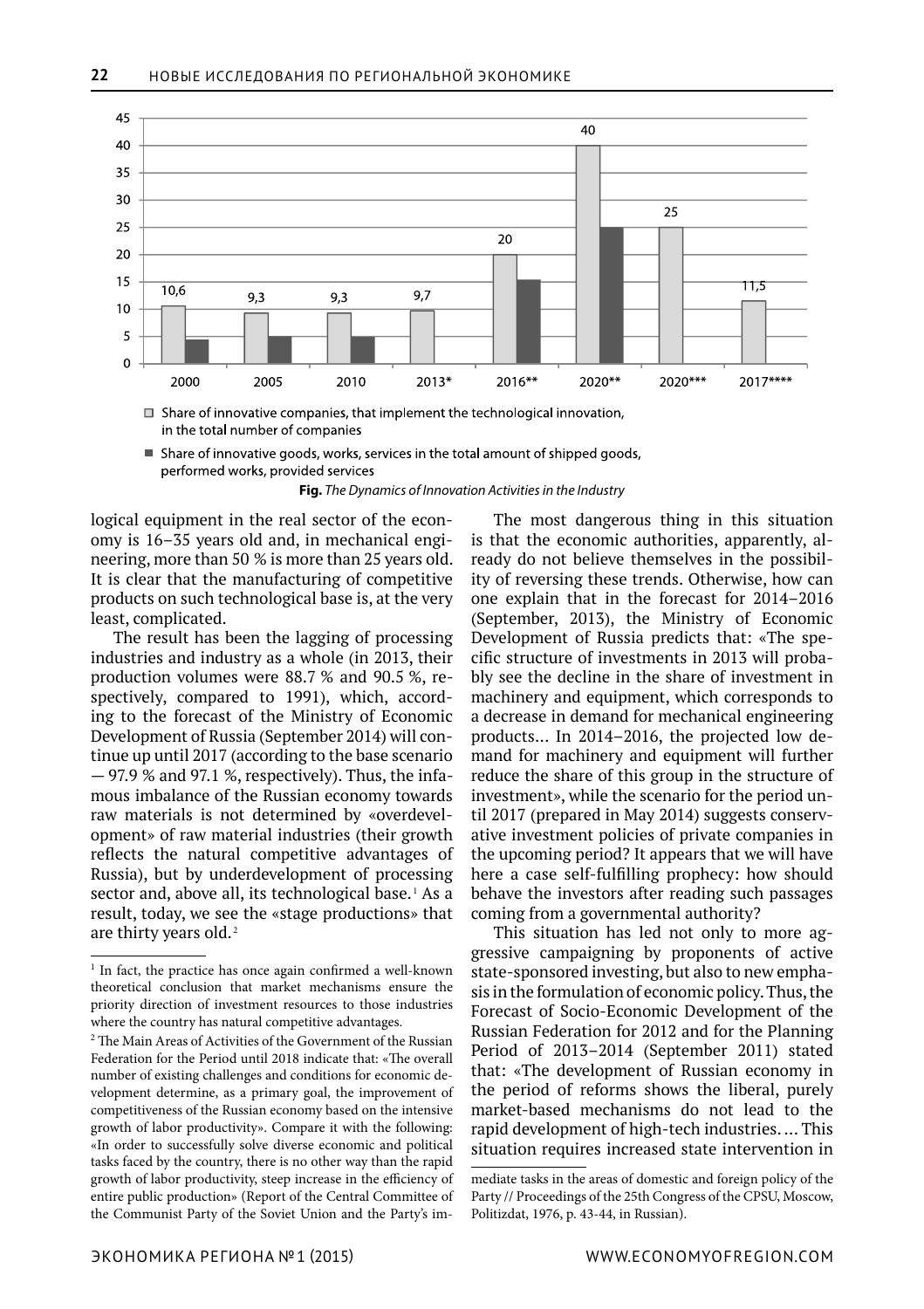

 $\Box$ Share of innovative goods, works, services in the total amount of shipped goods, performed works, provided services

**Fig.** *The Dynamics of Innovation Activities in the Industry*

logical equipment in the real sector of the economy is 16–35 years old and, in mechanical engineering, more than 50 % is more than 25 years old. It is clear that the manufacturing of competitive products on such technological base is, at the very least, complicated.

The result has been the lagging of processing industries and industry as a whole (in 2013, their production volumes were 88.7 % and 90.5 %, respectively, compared to 1991), which, according to the forecast of the Ministry of Economic Development of Russia (September 2014) will continue up until 2017 (according to the base scenario — 97.9 % and 97.1 %, respectively). Thus, the infamous imbalance of the Russian economy towards raw materials is not determined by «overdevelopment» of raw material industries (their growth reflects the natural competitive advantages of Russia), but by underdevelopment of processing sector and, above all, its technological base.1 As a result, today, we see the «stage productions» that are thirty years old.<sup>2</sup>

The most dangerous thing in this situation is that the economic authorities, apparently, already do not believe themselves in the possibility of reversing these trends. Otherwise, how can one explain that in the forecast for 2014–2016 (September, 2013), the Ministry of Economic Development of Russia predicts that: «The specific structure of investments in 2013 will probably see the decline in the share of investment in machinery and equipment, which corresponds to a decrease in demand for mechanical engineering products... In 2014–2016, the projected low demand for machinery and equipment will further reduce the share of this group in the structure of investment», while the scenario for the period until 2017 (prepared in May 2014) suggests conservative investment policies of private companies in the upcoming period? It appears that we will have here a case self-fulfilling prophecy: how should behave the investors after reading such passages coming from a governmental authority?

This situation has led not only to more aggressive campaigning by proponents of active state-sponsored investing, but also to new emphasis in the formulation of economic policy. Thus, the Forecast of Socio-Economic Development of the Russian Federation for 2012 and for the Planning Period of 2013–2014 (September 2011) stated that: «The development of Russian economy in the period of reforms shows the liberal, purely market-based mechanisms do not lead to the rapid development of high-tech industries. ... This situation requires increased state intervention in

<sup>&</sup>lt;sup>1</sup> In fact, the practice has once again confirmed a well-known theoretical conclusion that market mechanisms ensure the priority direction of investment resources to those industries where the country has natural competitive advantages.

<sup>&</sup>lt;sup>2</sup> The Main Areas of Activities of the Government of the Russian Federation for the Period until 2018 indicate that: «The overall number of existing challenges and conditions for economic development determine, as a primary goal, the improvement of competitiveness of the Russian economy based on the intensive growth of labor productivity». Compare it with the following: «In order to successfully solve diverse economic and political tasks faced by the country, there is no other way than the rapid growth of labor productivity, steep increase in the efficiency of entire public production» (Report of the Central Committee of the Communist Party of the Soviet Union and the Party's im-

mediate tasks in the areas of domestic and foreign policy of the Party // Proceedings of the 25th Congress of the CPSU, Moscow, Politizdat, 1976, p. 43-44, in Russian).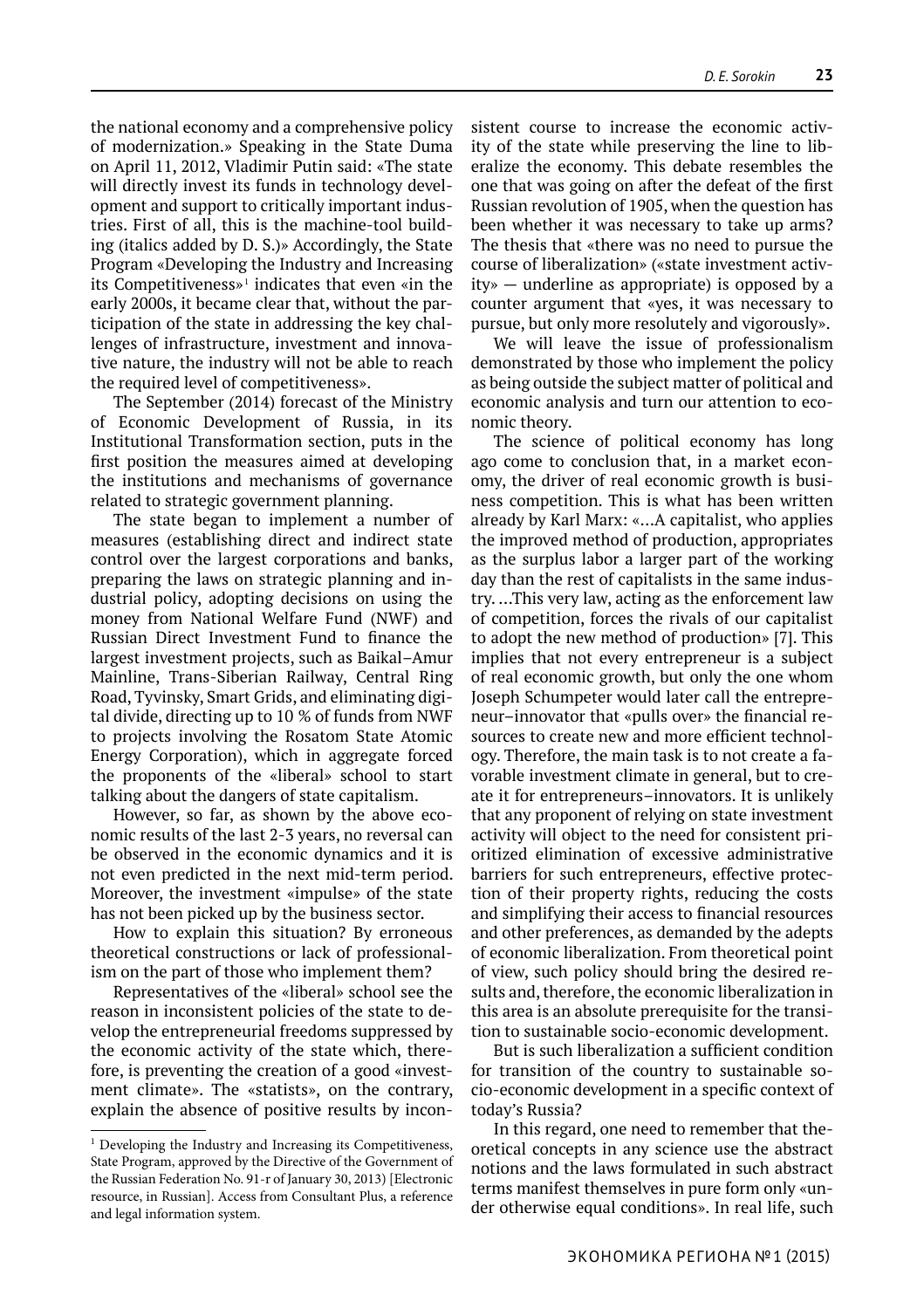the national economy and a comprehensive policy of modernization.» Speaking in the State Duma on April 11, 2012, Vladimir Putin said: «The state will directly invest its funds in technology development and support to critically important industries. First of all, this is the machine-tool building (italics added by D. S.)» Accordingly, the State Program «Developing the Industry and Increasing its Competitiveness» $^{\scriptscriptstyle 1}$  indicates that even «in the early 2000s, it became clear that, without the participation of the state in addressing the key challenges of infrastructure, investment and innovative nature, the industry will not be able to reach the required level of competitiveness».

The September (2014) forecast of the Ministry of Economic Development of Russia, in its Institutional Transformation section, puts in the first position the measures aimed at developing the institutions and mechanisms of governance related to strategic government planning.

The state began to implement a number of measures (establishing direct and indirect state control over the largest corporations and banks, preparing the laws on strategic planning and industrial policy, adopting decisions on using the money from National Welfare Fund (NWF) and Russian Direct Investment Fund to finance the largest investment projects, such as Baikal–Amur Mainline, Trans-Siberian Railway, Central Ring Road, Tyvinsky, Smart Grids, and eliminating digital divide, directing up to 10 % of funds from NWF to projects involving the Rosatom State Atomic Energy Corporation), which in aggregate forced the proponents of the «liberal» school to start talking about the dangers of state capitalism.

However, so far, as shown by the above economic results of the last 2-3 years, no reversal can be observed in the economic dynamics and it is not even predicted in the next mid-term period. Moreover, the investment «impulse» of the state has not been picked up by the business sector.

How to explain this situation? By erroneous theoretical constructions or lack of professionalism on the part of those who implement them?

Representatives of the «liberal» school see the reason in inconsistent policies of the state to develop the entrepreneurial freedoms suppressed by the economic activity of the state which, therefore, is preventing the creation of a good «investment climate». The «statists», on the contrary, explain the absence of positive results by inconsistent course to increase the economic activity of the state while preserving the line to liberalize the economy. This debate resembles the one that was going on after the defeat of the first Russian revolution of 1905, when the question has been whether it was necessary to take up arms? The thesis that «there was no need to pursue the course of liberalization» («state investment activity» — underline as appropriate) is opposed by a counter argument that «yes, it was necessary to pursue, but only more resolutely and vigorously».

We will leave the issue of professionalism demonstrated by those who implement the policy as being outside the subject matter of political and economic analysis and turn our attention to economic theory.

The science of political economy has long ago come to conclusion that, in a market economy, the driver of real economic growth is business competition. This is what has been written already by Karl Marx: «…A capitalist, who applies the improved method of production, appropriates as the surplus labor a larger part of the working day than the rest of capitalists in the same industry. …This very law, acting as the enforcement law of competition, forces the rivals of our capitalist to adopt the new method of production» [7]. This implies that not every entrepreneur is a subject of real economic growth, but only the one whom Joseph Schumpeter would later call the entrepreneur–innovator that «pulls over» the financial resources to create new and more efficient technology. Therefore, the main task is to not create a favorable investment climate in general, but to create it for entrepreneurs–innovators. It is unlikely that any proponent of relying on state investment activity will object to the need for consistent prioritized elimination of excessive administrative barriers for such entrepreneurs, effective protection of their property rights, reducing the costs and simplifying their access to financial resources and other preferences, as demanded by the adepts of economic liberalization. From theoretical point of view, such policy should bring the desired results and, therefore, the economic liberalization in this area is an absolute prerequisite for the transition to sustainable socio-economic development.

But is such liberalization a sufficient condition for transition of the country to sustainable socio-economic development in a specific context of today's Russia?

In this regard, one need to remember that theoretical concepts in any science use the abstract notions and the laws formulated in such abstract terms manifest themselves in pure form only «under otherwise equal conditions». In real life, such

<sup>&</sup>lt;sup>1</sup> Developing the Industry and Increasing its Competitiveness, State Program, approved by the Directive of the Government of the Russian Federation No. 91-r of January 30, 2013) [Electronic resource, in Russian]. Access from Consultant Plus, a reference and legal information system.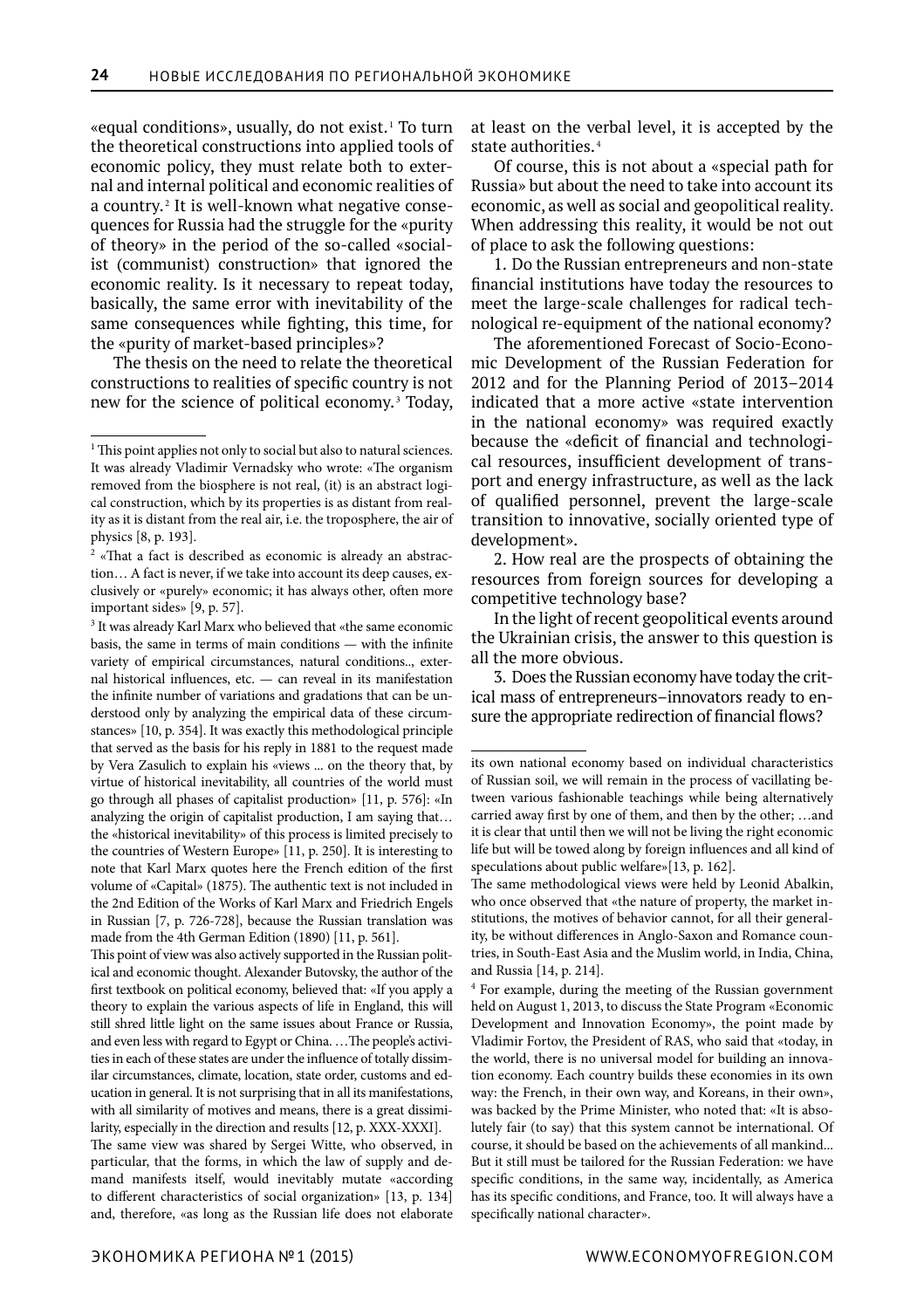«equal conditions», usually, do not exist.<sup>1</sup> To turn the theoretical constructions into applied tools of economic policy, they must relate both to external and internal political and economic realities of a country.<sup>2</sup> It is well-known what negative consequences for Russia had the struggle for the «purity of theory» in the period of the so-called «socialist (communist) construction» that ignored the economic reality. Is it necessary to repeat today, basically, the same error with inevitability of the same consequences while fighting, this time, for the «purity of market-based principles»?

The thesis on the need to relate the theoretical constructions to realities of specific country is not new for the science of political economy.<sup>3</sup> Today,

2 «That a fact is described as economic is already an abstraction… A fact is never, if we take into account its deep causes, exclusively or «purely» economic; it has always other, often more important sides» [9, p. 57].

3 It was already Karl Marx who believed that «the same economic basis, the same in terms of main conditions — with the infinite variety of empirical circumstances, natural conditions.., external historical influences, etc. — can reveal in its manifestation the infinite number of variations and gradations that can be understood only by analyzing the empirical data of these circumstances» [10, p. 354]. It was exactly this methodological principle that served as the basis for his reply in 1881 to the request made by Vera Zasulich to explain his «views ... on the theory that, by virtue of historical inevitability, all countries of the world must go through all phases of capitalist production» [11, p. 576]: «In analyzing the origin of capitalist production, I am saying that… the «historical inevitability» of this process is limited precisely to the countries of Western Europe» [11, p. 250]. It is interesting to note that Karl Marx quotes here the French edition of the first volume of «Capital» (1875). The authentic text is not included in the 2nd Edition of the Works of Karl Marx and Friedrich Engels in Russian [7, p. 726-728], because the Russian translation was made from the 4th German Edition (1890) [11, p. 561].

This point of view was also actively supported in the Russian political and economic thought. Alexander Butovsky, the author of the first textbook on political economy, believed that: «If you apply a theory to explain the various aspects of life in England, this will still shred little light on the same issues about France or Russia, and even less with regard to Egypt or China. …The people's activities in each of these states are under the influence of totally dissimilar circumstances, climate, location, state order, customs and education in general. It is not surprising that in all its manifestations, with all similarity of motives and means, there is a great dissimilarity, especially in the direction and results [12, p. ХХХ-ХХХI].

The same view was shared by Sergei Witte, who observed, in particular, that the forms, in which the law of supply and demand manifests itself, would inevitably mutate «according to different characteristics of social organization» [13, p. 134] and, therefore, «as long as the Russian life does not elaborate at least on the verbal level, it is accepted by the state authorities. <sup>4</sup>

Of course, this is not about a «special path for Russia» but about the need to take into account its economic, as well as social and geopolitical reality. When addressing this reality, it would be not out of place to ask the following questions:

1. Do the Russian entrepreneurs and non-state financial institutions have today the resources to meet the large-scale challenges for radical technological re-equipment of the national economy?

The aforementioned Forecast of Socio-Economic Development of the Russian Federation for 2012 and for the Planning Period of 2013–2014 indicated that a more active «state intervention in the national economy» was required exactly because the «deficit of financial and technological resources, insufficient development of transport and energy infrastructure, as well as the lack of qualified personnel, prevent the large-scale transition to innovative, socially oriented type of development».

2. How real are the prospects of obtaining the resources from foreign sources for developing a competitive technology base?

In the light of recent geopolitical events around the Ukrainian crisis, the answer to this question is all the more obvious.

3. Does the Russian economy have today the critical mass of entrepreneurs–innovators ready to ensure the appropriate redirection of financial flows?

 $<sup>1</sup>$  This point applies not only to social but also to natural sciences.</sup> It was already Vladimir Vernadsky who wrote: «The organism removed from the biosphere is not real, (it) is an abstract logical construction, which by its properties is as distant from reality as it is distant from the real air, i.e. the troposphere, the air of physics [8, p. 193].

its own national economy based on individual characteristics of Russian soil, we will remain in the process of vacillating between various fashionable teachings while being alternatively carried away first by one of them, and then by the other; …and it is clear that until then we will not be living the right economic life but will be towed along by foreign influences and all kind of speculations about public welfare»[13, p. 162].

The same methodological views were held by Leonid Abalkin, who once observed that «the nature of property, the market institutions, the motives of behavior cannot, for all their generality, be without differences in Anglo-Saxon and Romance countries, in South-East Asia and the Muslim world, in India, China, and Russia [14, p. 214].

<sup>4</sup> For example, during the meeting of the Russian government held on August 1, 2013, to discuss the State Program «Economic Development and Innovation Economy», the point made by Vladimir Fortov, the President of RAS, who said that «today, in the world, there is no universal model for building an innovation economy. Each country builds these economies in its own way: the French, in their own way, and Koreans, in their own», was backed by the Prime Minister, who noted that: «It is absolutely fair (to say) that this system cannot be international. Of course, it should be based on the achievements of all mankind... But it still must be tailored for the Russian Federation: we have specific conditions, in the same way, incidentally, as America has its specific conditions, and France, too. It will always have a specifically national character».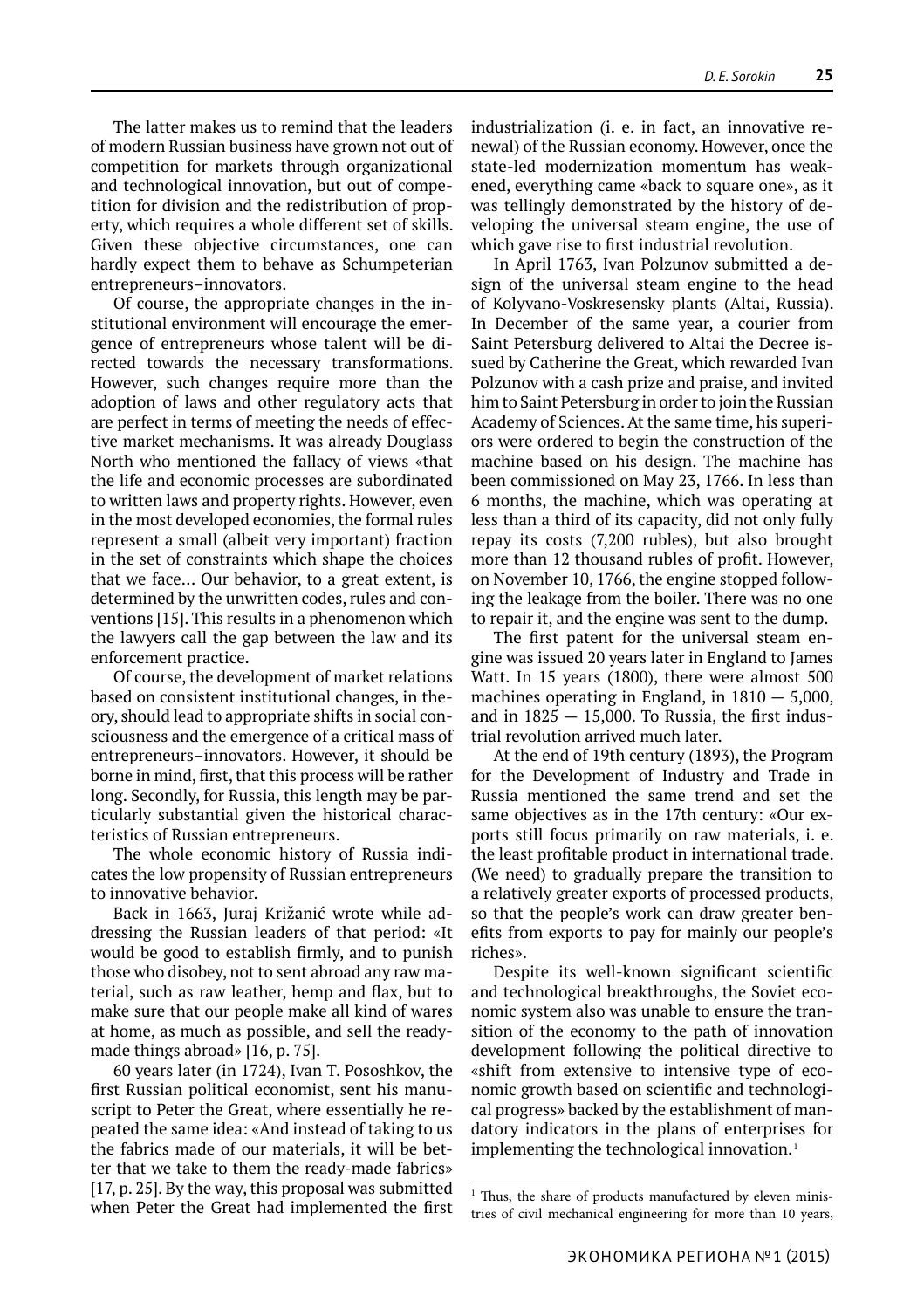The latter makes us to remind that the leaders of modern Russian business have grown not out of competition for markets through organizational and technological innovation, but out of competition for division and the redistribution of property, which requires a whole different set of skills. Given these objective circumstances, one can hardly expect them to behave as Schumpeterian entrepreneurs–innovators.

Of course, the appropriate changes in the institutional environment will encourage the emergence of entrepreneurs whose talent will be directed towards the necessary transformations. However, such changes require more than the adoption of laws and other regulatory acts that are perfect in terms of meeting the needs of effective market mechanisms. It was already Douglass North who mentioned the fallacy of views «that the life and economic processes are subordinated to written laws and property rights. However, even in the most developed economies, the formal rules represent a small (albeit very important) fraction in the set of constraints which shape the choices that we face... Our behavior, to a great extent, is determined by the unwritten codes, rules and conventions [15]. This results in a phenomenon which the lawyers call the gap between the law and its enforcement practice.

Of course, the development of market relations based on consistent institutional changes, in theory, should lead to appropriate shifts in social consciousness and the emergence of a critical mass of entrepreneurs–innovators. However, it should be borne in mind, first, that this process will be rather long. Secondly, for Russia, this length may be particularly substantial given the historical characteristics of Russian entrepreneurs.

The whole economic history of Russia indicates the low propensity of Russian entrepreneurs to innovative behavior.

Back in 1663, Juraj Križanić wrote while addressing the Russian leaders of that period: «It would be good to establish firmly, and to punish those who disobey, not to sent abroad any raw material, such as raw leather, hemp and flax, but to make sure that our people make all kind of wares at home, as much as possible, and sell the readymade things abroad» [16, p. 75].

60 years later (in 1724), Ivan T. Pososhkov, the first Russian political economist, sent his manuscript to Peter the Great, where essentially he repeated the same idea: «And instead of taking to us the fabrics made of our materials, it will be better that we take to them the ready-made fabrics» [17, p. 25]. By the way, this proposal was submitted when Peter the Great had implemented the first industrialization (i. e. in fact, an innovative renewal) of the Russian economy. However, once the state-led modernization momentum has weakened, everything came «back to square one», as it was tellingly demonstrated by the history of developing the universal steam engine, the use of which gave rise to first industrial revolution.

In April 1763, Ivan Polzunov submitted a design of the universal steam engine to the head of Kolyvano-Voskresensky plants (Altai, Russia). In December of the same year, a courier from Saint Petersburg delivered to Altai the Decree issued by Catherine the Great, which rewarded Ivan Polzunov with a cash prize and praise, and invited him to Saint Petersburg in order to join the Russian Academy of Sciences. At the same time, his superiors were ordered to begin the construction of the machine based on his design. The machine has been commissioned on May 23, 1766. In less than 6 months, the machine, which was operating at less than a third of its capacity, did not only fully repay its costs (7,200 rubles), but also brought more than 12 thousand rubles of profit. However, on November 10, 1766, the engine stopped following the leakage from the boiler. There was no one to repair it, and the engine was sent to the dump.

The first patent for the universal steam engine was issued 20 years later in England to James Watt. In 15 years (1800), there were almost 500 machines operating in England, in  $1810 - 5,000$ , and in  $1825 - 15,000$ . To Russia, the first industrial revolution arrived much later.

At the end of 19th century (1893), the Program for the Development of Industry and Trade in Russia mentioned the same trend and set the same objectives as in the 17th century: «Our exports still focus primarily on raw materials, i. e. the least profitable product in international trade. (We need) to gradually prepare the transition to a relatively greater exports of processed products, so that the people's work can draw greater benefits from exports to pay for mainly our people's riches».

Despite its well-known significant scientific and technological breakthroughs, the Soviet economic system also was unable to ensure the transition of the economy to the path of innovation development following the political directive to «shift from extensive to intensive type of economic growth based on scientific and technological progress» backed by the establishment of mandatory indicators in the plans of enterprises for implementing the technological innovation. $<sup>1</sup>$ </sup>

<sup>&</sup>lt;sup>1</sup> Thus, the share of products manufactured by eleven ministries of civil mechanical engineering for more than 10 years,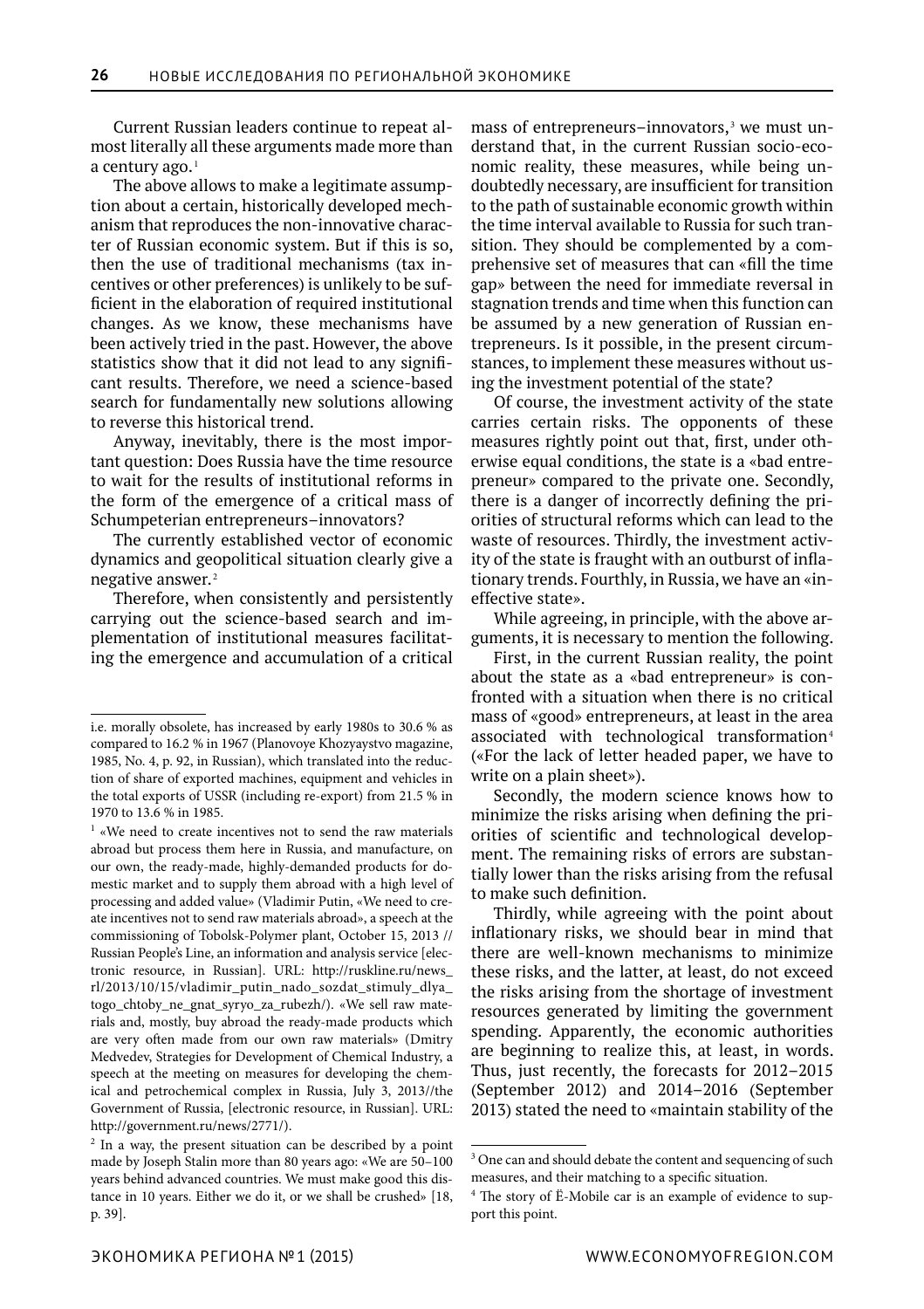Current Russian leaders continue to repeat almost literally all these arguments made more than a century  $a$ go.<sup>1</sup>

The above allows to make a legitimate assumption about a certain, historically developed mechanism that reproduces the non-innovative character of Russian economic system. But if this is so, then the use of traditional mechanisms (tax incentives or other preferences) is unlikely to be sufficient in the elaboration of required institutional changes. As we know, these mechanisms have been actively tried in the past. However, the above statistics show that it did not lead to any significant results. Therefore, we need a science-based search for fundamentally new solutions allowing to reverse this historical trend.

Anyway, inevitably, there is the most important question: Does Russia have the time resource to wait for the results of institutional reforms in the form of the emergence of a critical mass of Schumpeterian entrepreneurs–innovators?

The currently established vector of economic dynamics and geopolitical situation clearly give a negative answer. <sup>2</sup>

Therefore, when consistently and persistently carrying out the science-based search and implementation of institutional measures facilitating the emergence and accumulation of a critical

mass of entrepreneurs–innovators,<sup>3</sup> we must understand that, in the current Russian socio-economic reality, these measures, while being undoubtedly necessary, are insufficient for transition to the path of sustainable economic growth within the time interval available to Russia for such transition. They should be complemented by a comprehensive set of measures that can «fill the time gap» between the need for immediate reversal in stagnation trends and time when this function can be assumed by a new generation of Russian entrepreneurs. Is it possible, in the present circumstances, to implement these measures without using the investment potential of the state?

Of course, the investment activity of the state carries certain risks. The opponents of these measures rightly point out that, first, under otherwise equal conditions, the state is a «bad entrepreneur» compared to the private one. Secondly, there is a danger of incorrectly defining the priorities of structural reforms which can lead to the waste of resources. Thirdly, the investment activity of the state is fraught with an outburst of inflationary trends. Fourthly, in Russia, we have an «ineffective state».

While agreeing, in principle, with the above arguments, it is necessary to mention the following.

First, in the current Russian reality, the point about the state as a «bad entrepreneur» is confronted with a situation when there is no critical mass of «good» entrepreneurs, at least in the area associated with technological transformation $4$ («For the lack of letter headed paper, we have to write on a plain sheet»).

Secondly, the modern science knows how to minimize the risks arising when defining the priorities of scientific and technological development. The remaining risks of errors are substantially lower than the risks arising from the refusal to make such definition.

Thirdly, while agreeing with the point about inflationary risks, we should bear in mind that there are well-known mechanisms to minimize these risks, and the latter, at least, do not exceed the risks arising from the shortage of investment resources generated by limiting the government spending. Apparently, the economic authorities are beginning to realize this, at least, in words. Thus, just recently, the forecasts for 2012–2015 (September 2012) and 2014–2016 (September 2013) stated the need to «maintain stability of the

i.e. morally obsolete, has increased by early 1980s to 30.6 % as compared to 16.2 % in 1967 (Planovoye Khozyaystvo magazine, 1985, No. 4, p. 92, in Russian), which translated into the reduction of share of exported machines, equipment and vehicles in the total exports of USSR (including re-export) from 21.5 % in 1970 to 13.6 % in 1985. 1

 <sup>«</sup>We need to create incentives not to send the raw materials abroad but process them here in Russia, and manufacture, on our own, the ready-made, highly-demanded products for domestic market and to supply them abroad with a high level of processing and added value» (Vladimir Putin, «We need to create incentives not to send raw materials abroad», a speech at the commissioning of Tobolsk-Polymer plant, October 15, 2013 // Russian People's Line, an information and analysis service [electronic resource, in Russian]. URL: http://ruskline.ru/news\_ rl/2013/10/15/vladimir\_putin\_nado\_sozdat\_stimuly\_dlya\_ togo\_chtoby\_ne\_gnat\_syryo\_za\_rubezh/). «We sell raw materials and, mostly, buy abroad the ready-made products which are very often made from our own raw materials» (Dmitry Medvedev, Strategies for Development of Chemical Industry, a speech at the meeting on measures for developing the chemical and petrochemical complex in Russia, July 3, 2013//the Government of Russia, [electronic resource, in Russian]. URL: http://government.ru/news/2771/).

<sup>&</sup>lt;sup>2</sup> In a way, the present situation can be described by a point made by Joseph Stalin more than 80 years ago: «We are 50–100 years behind advanced countries. We must make good this distance in 10 years. Either we do it, or we shall be crushed» [18, p. 39].

<sup>&</sup>lt;sup>3</sup> One can and should debate the content and sequencing of such measures, and their matching to a specific situation.

<sup>&</sup>lt;sup>4</sup> The story of Ë-Mobile car is an example of evidence to support this point.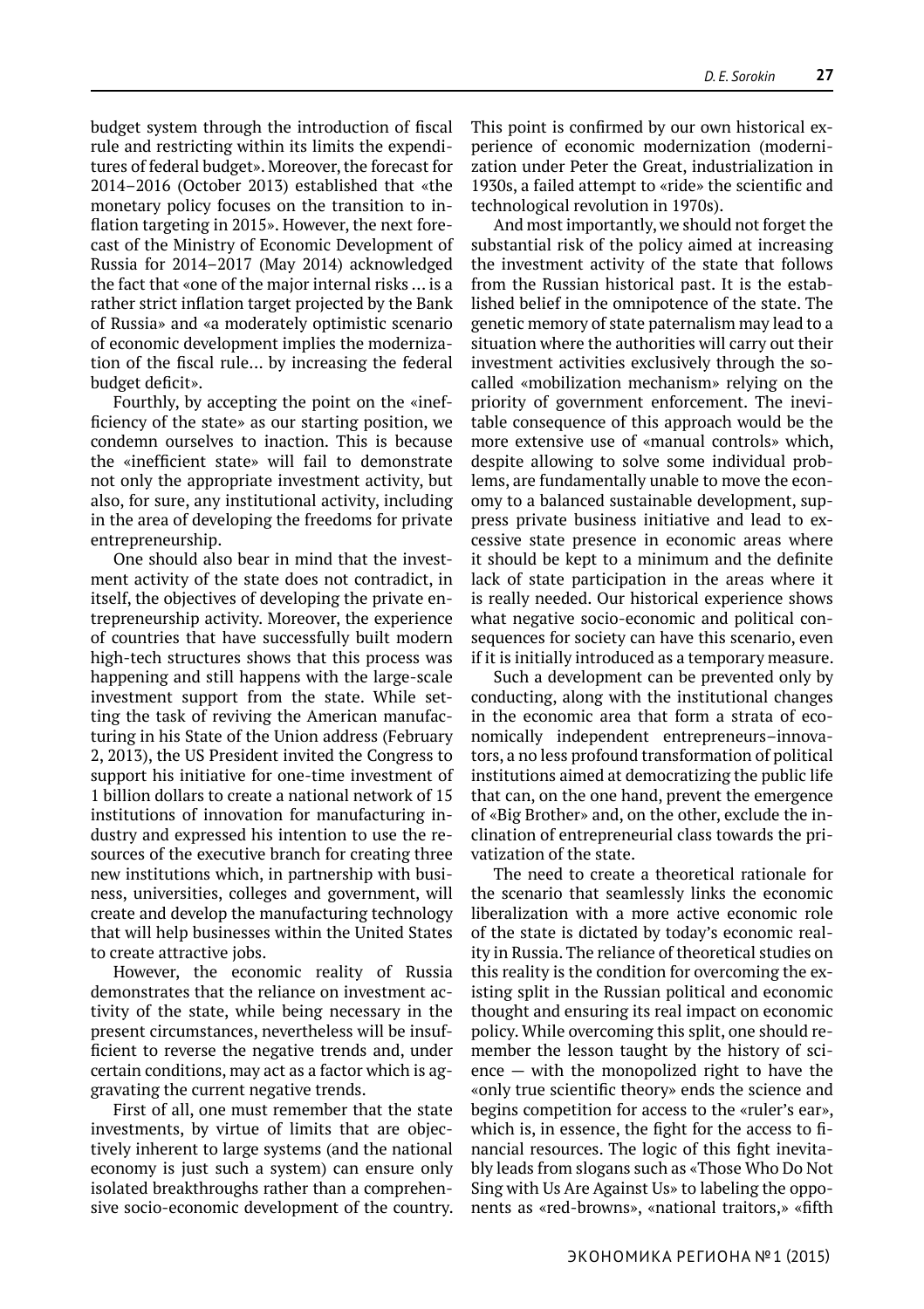budget system through the introduction of fiscal rule and restricting within its limits the expenditures of federal budget». Moreover, the forecast for 2014–2016 (October 2013) established that «the monetary policy focuses on the transition to inflation targeting in 2015». However, the next forecast of the Ministry of Economic Development of Russia for 2014–2017 (May 2014) acknowledged the fact that «one of the major internal risks ... is a rather strict inflation target projected by the Bank of Russia» and «a moderately optimistic scenario of economic development implies the modernization of the fiscal rule... by increasing the federal budget deficit».

Fourthly, by accepting the point on the «inefficiency of the state» as our starting position, we condemn ourselves to inaction. This is because the «inefficient state» will fail to demonstrate not only the appropriate investment activity, but also, for sure, any institutional activity, including in the area of developing the freedoms for private entrepreneurship.

One should also bear in mind that the investment activity of the state does not contradict, in itself, the objectives of developing the private entrepreneurship activity. Moreover, the experience of countries that have successfully built modern high-tech structures shows that this process was happening and still happens with the large-scale investment support from the state. While setting the task of reviving the American manufacturing in his State of the Union address (February 2, 2013), the US President invited the Congress to support his initiative for one-time investment of 1 billion dollars to create a national network of 15 institutions of innovation for manufacturing industry and expressed his intention to use the resources of the executive branch for creating three new institutions which, in partnership with business, universities, colleges and government, will create and develop the manufacturing technology that will help businesses within the United States to create attractive jobs.

However, the economic reality of Russia demonstrates that the reliance on investment activity of the state, while being necessary in the present circumstances, nevertheless will be insufficient to reverse the negative trends and, under certain conditions, may act as a factor which is aggravating the current negative trends.

First of all, one must remember that the state investments, by virtue of limits that are objectively inherent to large systems (and the national economy is just such a system) can ensure only isolated breakthroughs rather than a comprehensive socio-economic development of the country. This point is confirmed by our own historical experience of economic modernization (modernization under Peter the Great, industrialization in 1930s, a failed attempt to «ride» the scientific and technological revolution in 1970s).

And most importantly, we should not forget the substantial risk of the policy aimed at increasing the investment activity of the state that follows from the Russian historical past. It is the established belief in the omnipotence of the state. The genetic memory of state paternalism may lead to a situation where the authorities will carry out their investment activities exclusively through the socalled «mobilization mechanism» relying on the priority of government enforcement. The inevitable consequence of this approach would be the more extensive use of «manual controls» which, despite allowing to solve some individual problems, are fundamentally unable to move the economy to a balanced sustainable development, suppress private business initiative and lead to excessive state presence in economic areas where it should be kept to a minimum and the definite lack of state participation in the areas where it is really needed. Our historical experience shows what negative socio-economic and political consequences for society can have this scenario, even if it is initially introduced as a temporary measure.

Such a development can be prevented only by conducting, along with the institutional changes in the economic area that form a strata of economically independent entrepreneurs–innovators, a no less profound transformation of political institutions aimed at democratizing the public life that can, on the one hand, prevent the emergence of «Big Brother» and, on the other, exclude the inclination of entrepreneurial class towards the privatization of the state.

The need to create a theoretical rationale for the scenario that seamlessly links the economic liberalization with a more active economic role of the state is dictated by today's economic reality in Russia. The reliance of theoretical studies on this reality is the condition for overcoming the existing split in the Russian political and economic thought and ensuring its real impact on economic policy. While overcoming this split, one should remember the lesson taught by the history of sci $e^{\frac{1}{2}}$  ence  $-$  with the monopolized right to have the «only true scientific theory» ends the science and begins competition for access to the «ruler's ear», which is, in essence, the fight for the access to financial resources. The logic of this fight inevitably leads from slogans such as «Those Who Do Not Sing with Us Are Against Us» to labeling the opponents as «red-browns», «national traitors,» «fifth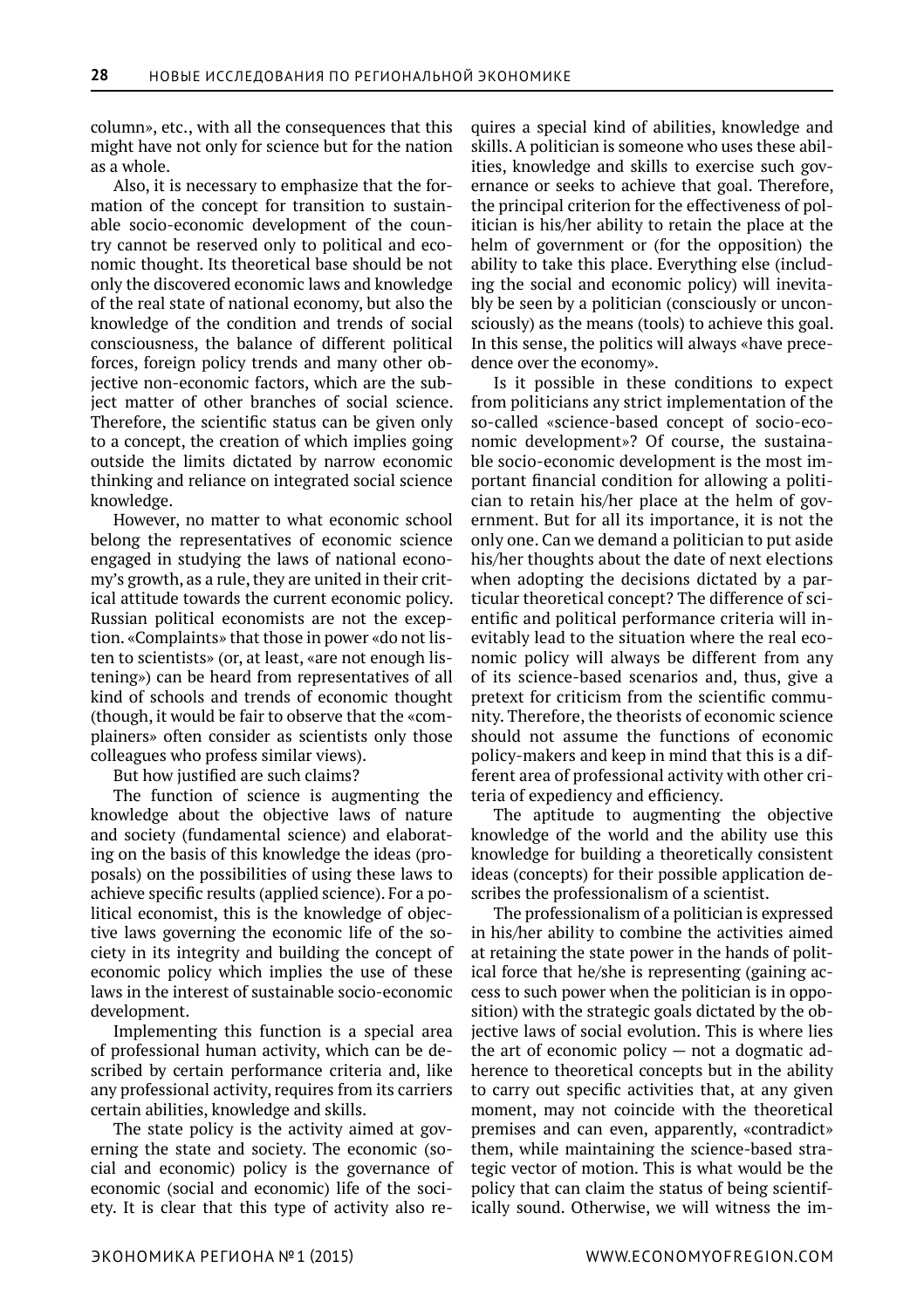column», etc., with all the consequences that this might have not only for science but for the nation as a whole.

Also, it is necessary to emphasize that the formation of the concept for transition to sustainable socio-economic development of the country cannot be reserved only to political and economic thought. Its theoretical base should be not only the discovered economic laws and knowledge of the real state of national economy, but also the knowledge of the condition and trends of social consciousness, the balance of different political forces, foreign policy trends and many other objective non-economic factors, which are the subject matter of other branches of social science. Therefore, the scientific status can be given only to a concept, the creation of which implies going outside the limits dictated by narrow economic thinking and reliance on integrated social science knowledge.

However, no matter to what economic school belong the representatives of economic science engaged in studying the laws of national economy's growth, as a rule, they are united in their critical attitude towards the current economic policy. Russian political economists are not the exception. «Complaints» that those in power «do not listen to scientists» (or, at least, «are not enough listening») can be heard from representatives of all kind of schools and trends of economic thought (though, it would be fair to observe that the «complainers» often consider as scientists only those colleagues who profess similar views).

But how justified are such claims?

The function of science is augmenting the knowledge about the objective laws of nature and society (fundamental science) and elaborating on the basis of this knowledge the ideas (proposals) on the possibilities of using these laws to achieve specific results (applied science). For a political economist, this is the knowledge of objective laws governing the economic life of the society in its integrity and building the concept of economic policy which implies the use of these laws in the interest of sustainable socio-economic development.

Implementing this function is a special area of professional human activity, which can be described by certain performance criteria and, like any professional activity, requires from its carriers certain abilities, knowledge and skills.

The state policy is the activity aimed at governing the state and society. The economic (social and economic) policy is the governance of economic (social and economic) life of the society. It is clear that this type of activity also requires a special kind of abilities, knowledge and skills. A politician is someone who uses these abilities, knowledge and skills to exercise such governance or seeks to achieve that goal. Therefore, the principal criterion for the effectiveness of politician is his/her ability to retain the place at the helm of government or (for the opposition) the ability to take this place. Everything else (including the social and economic policy) will inevitably be seen by a politician (consciously or unconsciously) as the means (tools) to achieve this goal. In this sense, the politics will always «have precedence over the economy».

Is it possible in these conditions to expect from politicians any strict implementation of the so-called «science-based concept of socio-economic development»? Of course, the sustainable socio-economic development is the most important financial condition for allowing a politician to retain his/her place at the helm of government. But for all its importance, it is not the only one. Can we demand a politician to put aside his/her thoughts about the date of next elections when adopting the decisions dictated by a particular theoretical concept? The difference of scientific and political performance criteria will inevitably lead to the situation where the real economic policy will always be different from any of its science-based scenarios and, thus, give a pretext for criticism from the scientific community. Therefore, the theorists of economic science should not assume the functions of economic policy-makers and keep in mind that this is a different area of professional activity with other criteria of expediency and efficiency.

The aptitude to augmenting the objective knowledge of the world and the ability use this knowledge for building a theoretically consistent ideas (concepts) for their possible application describes the professionalism of a scientist.

The professionalism of a politician is expressed in his/her ability to combine the activities aimed at retaining the state power in the hands of political force that he/she is representing (gaining access to such power when the politician is in opposition) with the strategic goals dictated by the objective laws of social evolution. This is where lies the art of economic policy — not a dogmatic adherence to theoretical concepts but in the ability to carry out specific activities that, at any given moment, may not coincide with the theoretical premises and can even, apparently, «contradict» them, while maintaining the science-based strategic vector of motion. This is what would be the policy that can claim the status of being scientifically sound. Otherwise, we will witness the im